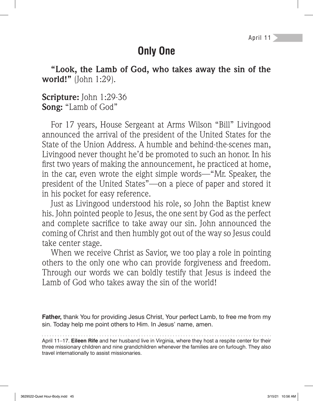April 11

# **Only One**

**"Look, the Lamb of God, who takes away the sin of the world!"** (John 1:29).

**Scripture:** John 1:29-36 **Song:** "Lamb of God"

For 17 years, House Sergeant at Arms Wilson "Bill" Livingood announced the arrival of the president of the United States for the State of the Union Address. A humble and behind-the-scenes man, Livingood never thought he'd be promoted to such an honor. In his first two years of making the announcement, he practiced at home, in the car, even wrote the eight simple words—"Mr. Speaker, the president of the United States"—on a piece of paper and stored it in his pocket for easy reference.

Just as Livingood understood his role, so John the Baptist knew his. John pointed people to Jesus, the one sent by God as the perfect and complete sacrifice to take away our sin. John announced the coming of Christ and then humbly got out of the way so Jesus could take center stage.

When we receive Christ as Savior, we too play a role in pointing others to the only one who can provide forgiveness and freedom. Through our words we can boldly testify that Jesus is indeed the Lamb of God who takes away the sin of the world!

**Father,** thank You for providing Jesus Christ, Your perfect Lamb, to free me from my sin. Today help me point others to Him. In Jesus' name, amen.

April 11–17. **Eileen Rife** and her husband live in Virginia, where they host a respite center for their three missionary children and nine grandchildren whenever the families are on furlough. They also travel internationally to assist missionaries.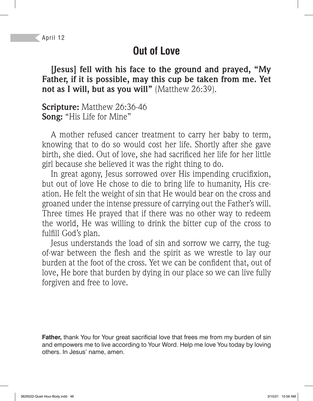# **Out of Love**

**[Jesus] fell with his face to the ground and prayed, "My Father, if it is possible, may this cup be taken from me. Yet not as I will, but as you will"** (Matthew 26:39).

**Scripture:** Matthew 26:36-46 **Song:** "His Life for Mine"

A mother refused cancer treatment to carry her baby to term, knowing that to do so would cost her life. Shortly after she gave birth, she died. Out of love, she had sacrificed her life for her little girl because she believed it was the right thing to do.

In great agony, Jesus sorrowed over His impending crucifixion, but out of love He chose to die to bring life to humanity, His creation. He felt the weight of sin that He would bear on the cross and groaned under the intense pressure of carrying out the Father's will. Three times He prayed that if there was no other way to redeem the world, He was willing to drink the bitter cup of the cross to fulfill God's plan.

Jesus understands the load of sin and sorrow we carry, the tugof-war between the flesh and the spirit as we wrestle to lay our burden at the foot of the cross. Yet we can be confident that, out of love, He bore that burden by dying in our place so we can live fully forgiven and free to love.

**Father,** thank You for Your great sacrificial love that frees me from my burden of sin and empowers me to live according to Your Word. Help me love You today by loving others. In Jesus' name, amen.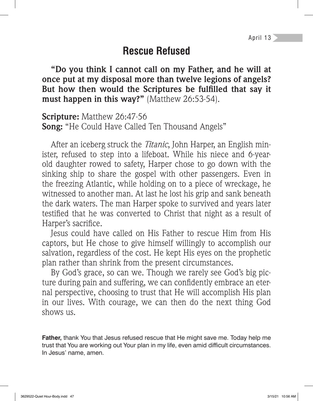April 13

#### **Rescue Refused**

**"Do you think I cannot call on my Father, and he will at once put at my disposal more than twelve legions of angels?**  But how then would the Scriptures be fulfilled that say it **must happen in this way?"** (Matthew 26:53-54).

**Scripture:** Matthew 26:47-56 **Song:** "He Could Have Called Ten Thousand Angels"

After an iceberg struck the *Titanic*, John Harper, an English minister, refused to step into a lifeboat. While his niece and 6-yearold daughter rowed to safety, Harper chose to go down with the sinking ship to share the gospel with other passengers. Even in the freezing Atlantic, while holding on to a piece of wreckage, he witnessed to another man. At last he lost his grip and sank beneath the dark waters. The man Harper spoke to survived and years later testified that he was converted to Christ that night as a result of Harper's sacrifice.

Jesus could have called on His Father to rescue Him from His captors, but He chose to give himself willingly to accomplish our salvation, regardless of the cost. He kept His eyes on the prophetic plan rather than shrink from the present circumstances.

By God's grace, so can we. Though we rarely see God's big picture during pain and suffering, we can confidently embrace an eternal perspective, choosing to trust that He will accomplish His plan in our lives. With courage, we can then do the next thing God  $shows$   $11S$ .

**Father,** thank You that Jesus refused rescue that He might save me. Today help me trust that You are working out Your plan in my life, even amid difficult circumstances. In Jesus' name, amen.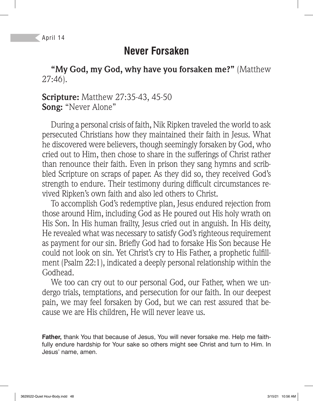### **Never Forsaken**

**"My God, my God, why have you forsaken me?"** (Matthew 27:46).

**Scripture:** Matthew 27:35-43, 45-50 **Song:** "Never Alone"

During a personal crisis of faith, Nik Ripken traveled the world to ask persecuted Christians how they maintained their faith in Jesus. What he discovered were believers, though seemingly forsaken by God, who cried out to Him, then chose to share in the sufferings of Christ rather than renounce their faith. Even in prison they sang hymns and scribbled Scripture on scraps of paper. As they did so, they received God's strength to endure. Their testimony during difficult circumstances revived Ripken's own faith and also led others to Christ.

To accomplish God's redemptive plan, Jesus endured rejection from those around Him, including God as He poured out His holy wrath on His Son. In His human frailty, Jesus cried out in anguish. In His deity, He revealed what was necessary to satisfy God's righteous requirement as payment for our sin. Briefly God had to forsake His Son because He could not look on sin. Yet Christ's cry to His Father, a prophetic fulfillment (Psalm 22:1), indicated a deeply personal relationship within the Godhead.

We too can cry out to our personal God, our Father, when we undergo trials, temptations, and persecution for our faith. In our deepest pain, we may feel forsaken by God, but we can rest assured that because we are His children, He will never leave us.

**Father,** thank You that because of Jesus, You will never forsake me. Help me faithfully endure hardship for Your sake so others might see Christ and turn to Him. In Jesus' name, amen.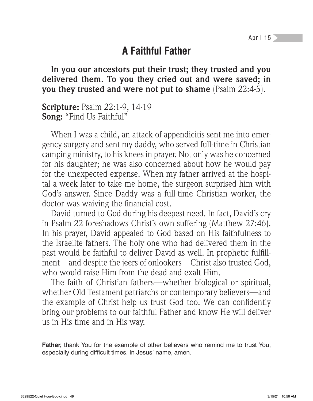# **A Faithful Father**

**In you our ancestors put their trust; they trusted and you delivered them. To you they cried out and were saved; in you they trusted and were not put to shame** (Psalm 22:4-5).

**Scripture:** Psalm 22:1-9, 14-19 **Song:** "Find Us Faithful"

When I was a child, an attack of appendicitis sent me into emergency surgery and sent my daddy, who served full-time in Christian camping ministry, to his knees in prayer. Not only was he concerned for his daughter; he was also concerned about how he would pay for the unexpected expense. When my father arrived at the hospital a week later to take me home, the surgeon surprised him with God's answer. Since Daddy was a full-time Christian worker, the doctor was waiving the financial cost.

David turned to God during his deepest need. In fact, David's cry in Psalm 22 foreshadows Christ's own suffering (Matthew 27:46). In his prayer, David appealed to God based on His faithfulness to the Israelite fathers. The holy one who had delivered them in the past would be faithful to deliver David as well. In prophetic fulfillment—and despite the jeers of onlookers—Christ also trusted God, who would raise Him from the dead and exalt Him.

The faith of Christian fathers—whether biological or spiritual, whether Old Testament patriarchs or contemporary believers—and the example of Christ help us trust God too. We can confidently bring our problems to our faithful Father and know He will deliver us in His time and in His way.

**Father,** thank You for the example of other believers who remind me to trust You, especially during difficult times. In Jesus' name, amen.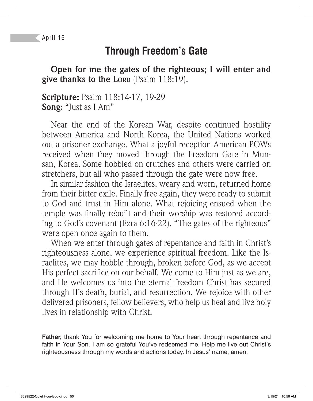# **Through Freedom's Gate**

**Open for me the gates of the righteous; I will enter and give thanks to the LORD** (Psalm 118:19).

**Scripture:** Psalm 118:14-17, 19-29 **Song:** "Just as I Am"

Near the end of the Korean War, despite continued hostility between America and North Korea, the United Nations worked out a prisoner exchange. What a joyful reception American POWs received when they moved through the Freedom Gate in Munsan, Korea. Some hobbled on crutches and others were carried on stretchers, but all who passed through the gate were now free.

In similar fashion the Israelites, weary and worn, returned home from their bitter exile. Finally free again, they were ready to submit to God and trust in Him alone. What rejoicing ensued when the temple was finally rebuilt and their worship was restored according to God's covenant (Ezra 6:16-22). "The gates of the righteous" were open once again to them.

When we enter through gates of repentance and faith in Christ's righteousness alone, we experience spiritual freedom. Like the Israelites, we may hobble through, broken before God, as we accept His perfect sacrifice on our behalf. We come to Him just as we are, and He welcomes us into the eternal freedom Christ has secured through His death, burial, and resurrection. We rejoice with other delivered prisoners, fellow believers, who help us heal and live holy lives in relationship with Christ.

**Father,** thank You for welcoming me home to Your heart through repentance and faith in Your Son. I am so grateful You've redeemed me. Help me live out Christ's righteousness through my words and actions today. In Jesus' name, amen.